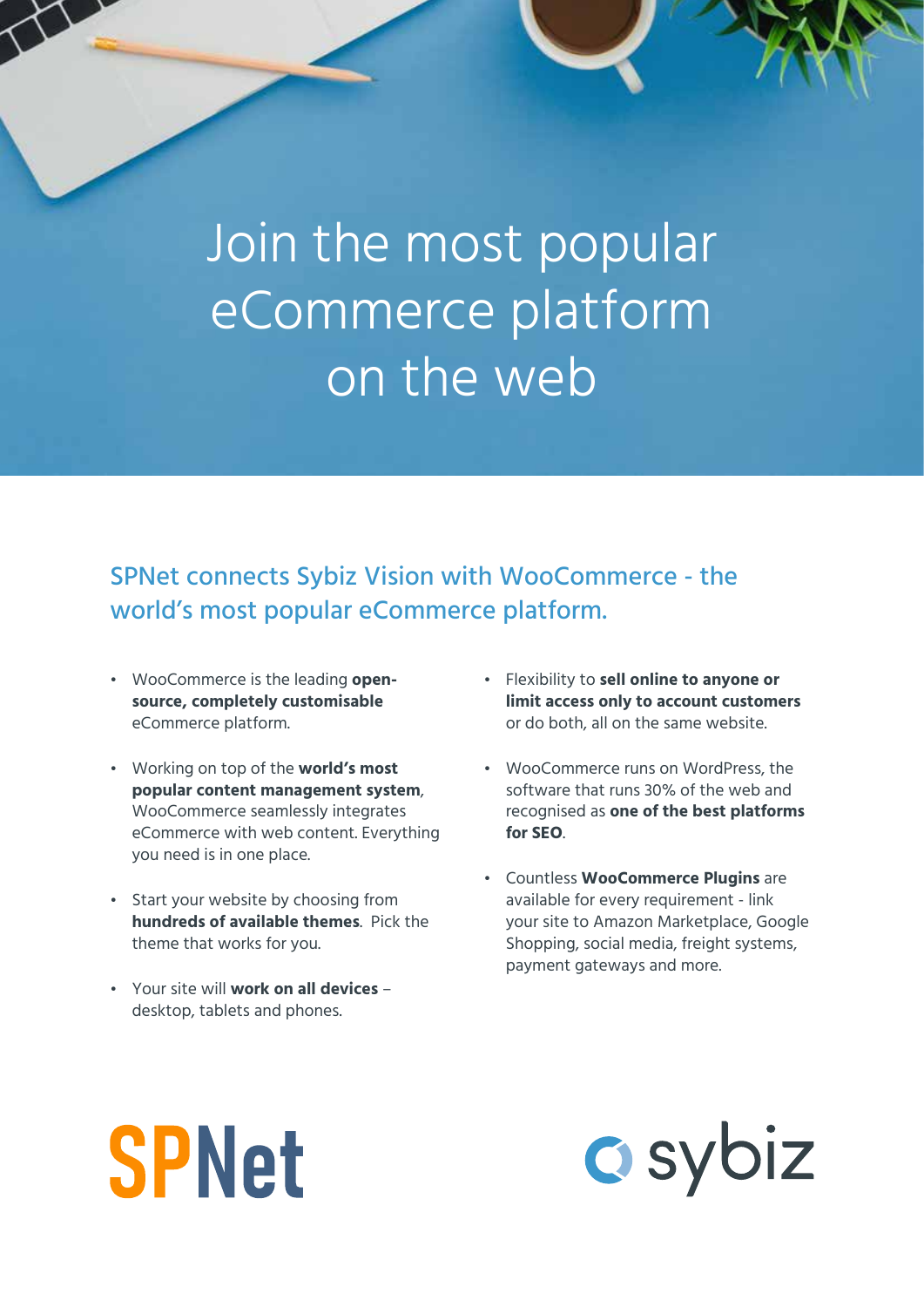Join the most popular eCommerce platform on the web

SPNet connects Sybiz Vision with WooCommerce - the world's most popular eCommerce platform.

- WooCommerce is the leading **opensource, completely customisable** eCommerce platform.
- Working on top of the **world's most popular content management system**, WooCommerce seamlessly integrates eCommerce with web content. Everything you need is in one place.
- Start your website by choosing from **hundreds of available themes**. Pick the theme that works for you.
- Your site will **work on all devices** desktop, tablets and phones.
- Flexibility to **sell online to anyone or limit access only to account customers** or do both, all on the same website.
- WooCommerce runs on WordPress, the software that runs 30% of the web and recognised as **one of the best platforms for SEO**.
- Countless **WooCommerce Plugins** are available for every requirement - link your site to Amazon Marketplace, Google Shopping, social media, freight systems, payment gateways and more.

# **SPNet**

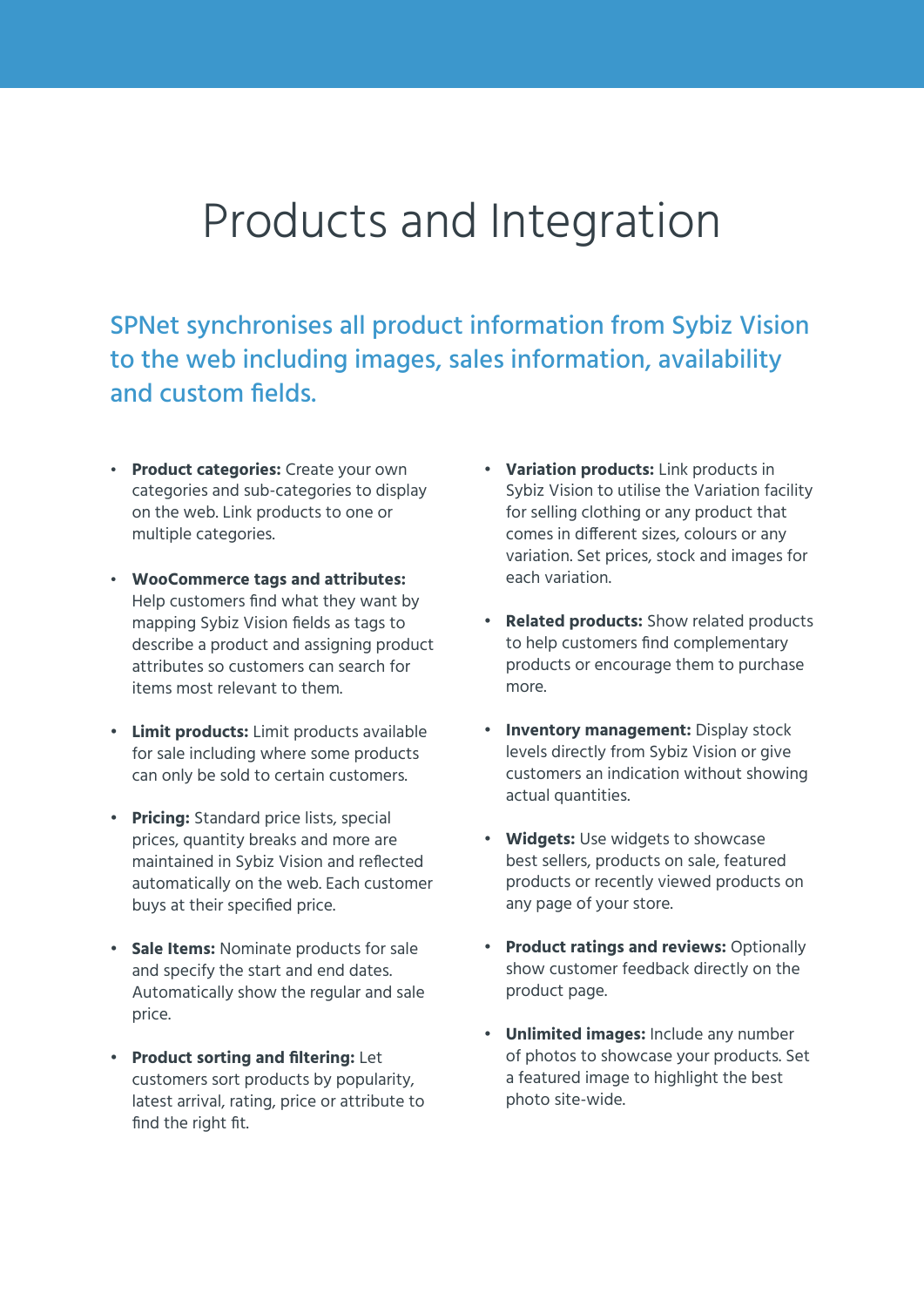#### Products and Integration

SPNet synchronises all product information from Sybiz Vision to the web including images, sales information, availability and custom fields.

- **Product categories:** Create your own categories and sub-categories to display on the web. Link products to one or multiple categories.
- **WooCommerce tags and attributes:**  Help customers find what they want by mapping Sybiz Vision fields as tags to describe a product and assigning product attributes so customers can search for items most relevant to them.
- **Limit products:** Limit products available for sale including where some products can only be sold to certain customers.
- **Pricing:** Standard price lists, special prices, quantity breaks and more are maintained in Sybiz Vision and reflected automatically on the web. Each customer buys at their specified price.
- **Sale Items:** Nominate products for sale and specify the start and end dates. Automatically show the regular and sale price.
- **Product sorting and filtering:** Let customers sort products by popularity, latest arrival, rating, price or attribute to find the right fit.
- **Variation products:** Link products in Sybiz Vision to utilise the Variation facility for selling clothing or any product that comes in different sizes, colours or any variation. Set prices, stock and images for each variation.
- **Related products:** Show related products to help customers find complementary products or encourage them to purchase more.
- **Inventory management:** Display stock levels directly from Sybiz Vision or give customers an indication without showing actual quantities.
- **Widgets:** Use widgets to showcase best sellers, products on sale, featured products or recently viewed products on any page of your store.
- **Product ratings and reviews:** Optionally show customer feedback directly on the product page.
- **Unlimited images:** Include any number of photos to showcase your products. Set a featured image to highlight the best photo site-wide.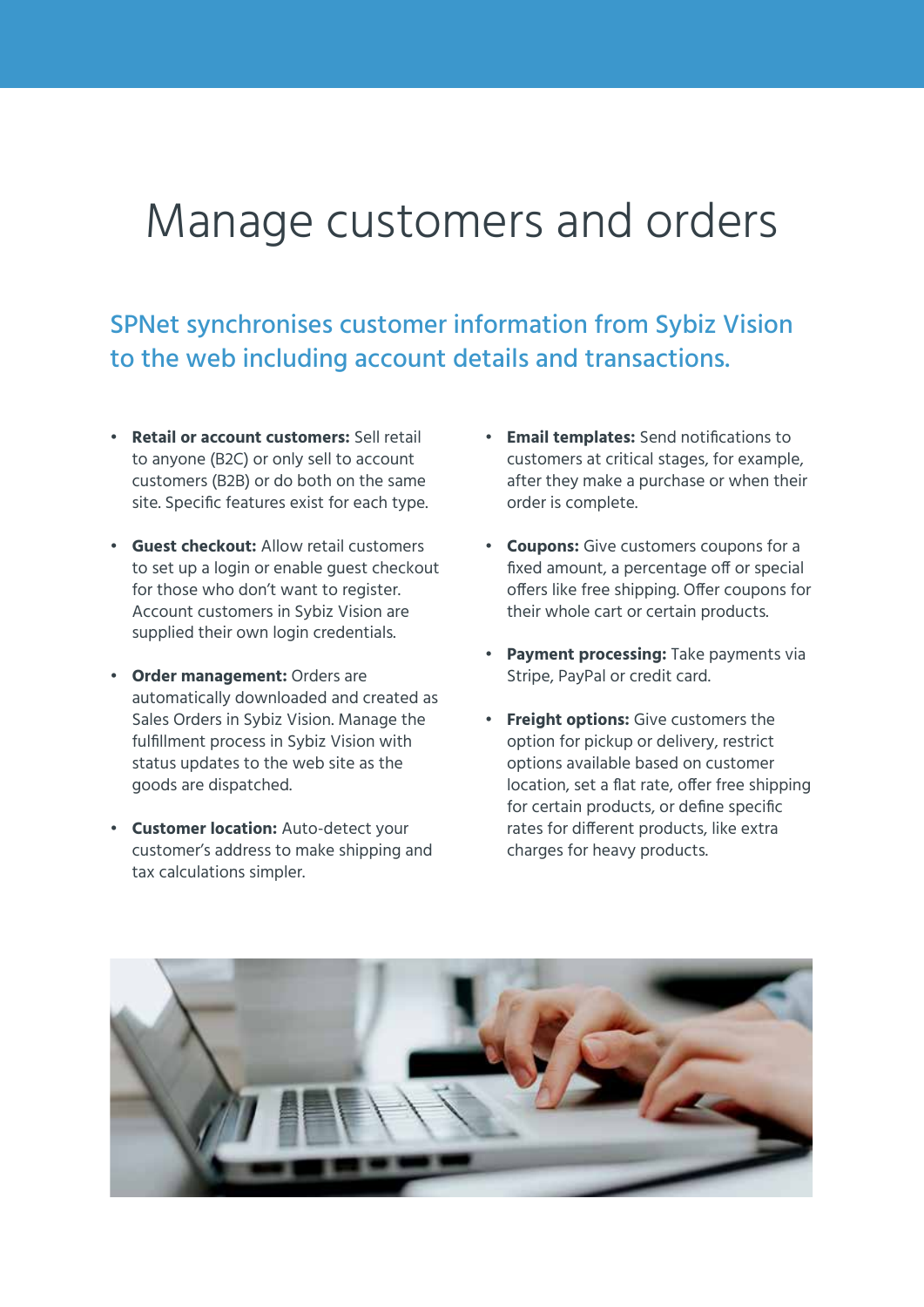### Manage customers and orders

SPNet synchronises customer information from Sybiz Vision to the web including account details and transactions.

- **Retail or account customers:** Sell retail to anyone (B2C) or only sell to account customers (B2B) or do both on the same site. Specific features exist for each type.
- **Guest checkout:** Allow retail customers to set up a login or enable guest checkout for those who don't want to register. Account customers in Sybiz Vision are supplied their own login credentials.
- **Order management:** Orders are automatically downloaded and created as Sales Orders in Sybiz Vision. Manage the fulfillment process in Sybiz Vision with status updates to the web site as the goods are dispatched.
- **Customer location:** Auto-detect your customer's address to make shipping and tax calculations simpler.
- **Email templates:** Send notifications to customers at critical stages, for example, after they make a purchase or when their order is complete.
- **Coupons:** Give customers coupons for a fixed amount, a percentage off or special offers like free shipping. Offer coupons for their whole cart or certain products.
- **Payment processing:** Take payments via Stripe, PayPal or credit card.
- **Freight options:** Give customers the option for pickup or delivery, restrict options available based on customer location, set a flat rate, offer free shipping for certain products, or define specific rates for different products, like extra charges for heavy products.